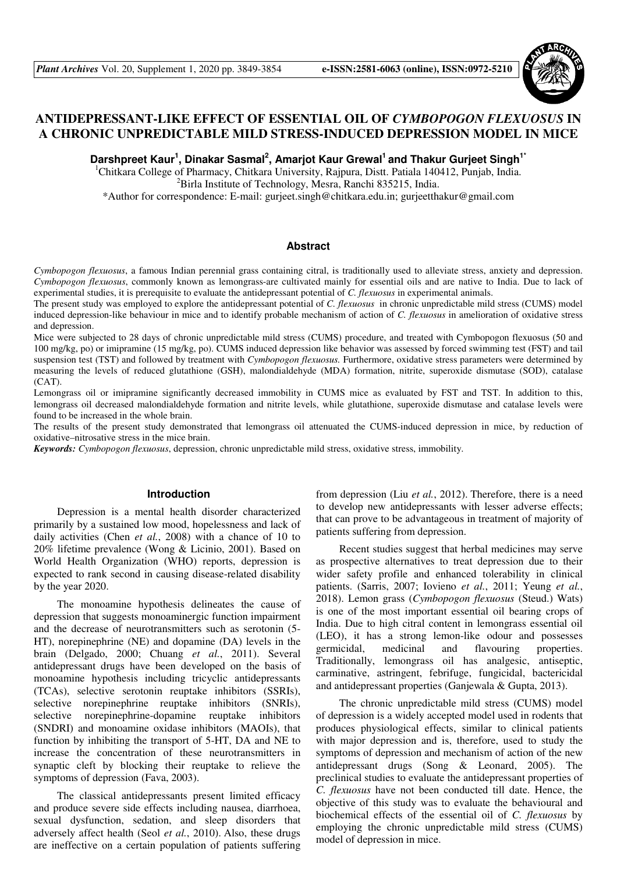

# **ANTIDEPRESSANT-LIKE EFFECT OF ESSENTIAL OIL OF** *CYMBOPOGON FLEXUOSUS* **IN A CHRONIC UNPREDICTABLE MILD STRESS-INDUCED DEPRESSION MODEL IN MICE**

**Darshpreet Kaur<sup>1</sup> , Dinakar Sasmal<sup>2</sup> , Amarjot Kaur Grewal<sup>1</sup>and Thakur Gurjeet Singh1\***

<sup>1</sup>Chitkara College of Pharmacy, Chitkara University, Rajpura, Distt. Patiala 140412, Punjab, India. <sup>2</sup>Birla Institute of Technology, Mesra, Ranchi 835215, India.

\*Author for correspondence: E-mail: gurjeet.singh@chitkara.edu.in; gurjeetthakur@gmail.com

### **Abstract**

*Cymbopogon flexuosus*, a famous Indian perennial grass containing citral, is traditionally used to alleviate stress, anxiety and depression. *Cymbopogon flexuosus*, commonly known as lemongrass-are cultivated mainly for essential oils and are native to India. Due to lack of experimental studies, it is prerequisite to evaluate the antidepressant potential of *C. flexuosus* in experimental animals.

The present study was employed to explore the antidepressant potential of *C. flexuosus* in chronic unpredictable mild stress (CUMS) model induced depression-like behaviour in mice and to identify probable mechanism of action of *C. flexuosus* in amelioration of oxidative stress and depression.

Mice were subjected to 28 days of chronic unpredictable mild stress (CUMS) procedure, and treated with Cymbopogon flexuosus (50 and 100 mg/kg, po) or imipramine (15 mg/kg, po). CUMS induced depression like behavior was assessed by forced swimming test (FST) and tail suspension test (TST) and followed by treatment with *Cymbopogon flexuosus.* Furthermore, oxidative stress parameters were determined by measuring the levels of reduced glutathione (GSH), malondialdehyde (MDA) formation, nitrite, superoxide dismutase (SOD), catalase  $(CAT)$ .

Lemongrass oil or imipramine significantly decreased immobility in CUMS mice as evaluated by FST and TST. In addition to this, lemongrass oil decreased malondialdehyde formation and nitrite levels, while glutathione, superoxide dismutase and catalase levels were found to be increased in the whole brain.

The results of the present study demonstrated that lemongrass oil attenuated the CUMS-induced depression in mice, by reduction of oxidative–nitrosative stress in the mice brain.

*Keywords: Cymbopogon flexuosus*, depression, chronic unpredictable mild stress, oxidative stress, immobility.

### **Introduction**

Depression is a mental health disorder characterized primarily by a sustained low mood, hopelessness and lack of daily activities (Chen *et al.*, 2008) with a chance of 10 to 20% lifetime prevalence (Wong & Licinio, 2001). Based on World Health Organization (WHO) reports, depression is expected to rank second in causing disease-related disability by the year 2020.

The monoamine hypothesis delineates the cause of depression that suggests monoaminergic function impairment and the decrease of neurotransmitters such as serotonin (5- HT), norepinephrine (NE) and dopamine (DA) levels in the brain (Delgado, 2000; Chuang *et al.*, 2011). Several antidepressant drugs have been developed on the basis of monoamine hypothesis including tricyclic antidepressants (TCAs), selective serotonin reuptake inhibitors (SSRIs), selective norepinephrine reuptake inhibitors (SNRIs), selective norepinephrine-dopamine reuptake inhibitors (SNDRI) and monoamine oxidase inhibitors (MAOIs), that function by inhibiting the transport of 5-HT, DA and NE to increase the concentration of these neurotransmitters in synaptic cleft by blocking their reuptake to relieve the symptoms of depression (Fava, 2003).

The classical antidepressants present limited efficacy and produce severe side effects including nausea, diarrhoea, sexual dysfunction, sedation, and sleep disorders that adversely affect health (Seol *et al.*, 2010). Also, these drugs are ineffective on a certain population of patients suffering

from depression (Liu *et al.*, 2012). Therefore, there is a need to develop new antidepressants with lesser adverse effects; that can prove to be advantageous in treatment of majority of patients suffering from depression.

Recent studies suggest that herbal medicines may serve as prospective alternatives to treat depression due to their wider safety profile and enhanced tolerability in clinical patients. (Sarris, 2007; Iovieno *et al.*, 2011; Yeung *et al.*, 2018). Lemon grass (*Cymbopogon flexuosus* (Steud.) Wats) is one of the most important essential oil bearing crops of India. Due to high citral content in lemongrass essential oil (LEO), it has a strong lemon-like odour and possesses germicidal, medicinal and flavouring properties. Traditionally, lemongrass oil has analgesic, antiseptic, carminative, astringent, febrifuge, fungicidal, bactericidal and antidepressant properties (Ganjewala & Gupta, 2013).

The chronic unpredictable mild stress (CUMS) model of depression is a widely accepted model used in rodents that produces physiological effects, similar to clinical patients with major depression and is, therefore, used to study the symptoms of depression and mechanism of action of the new antidepressant drugs (Song & Leonard, 2005). The preclinical studies to evaluate the antidepressant properties of *C. flexuosus* have not been conducted till date. Hence, the objective of this study was to evaluate the behavioural and biochemical effects of the essential oil of *C. flexuosus* by employing the chronic unpredictable mild stress (CUMS) model of depression in mice.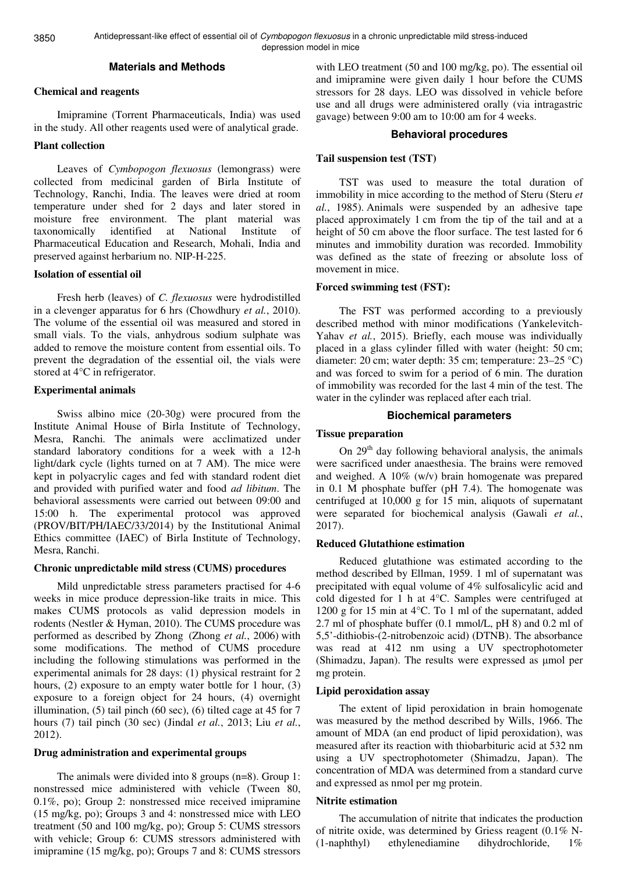### **Materials and Methods**

#### **Chemical and reagents**

Imipramine (Torrent Pharmaceuticals, India) was used in the study. All other reagents used were of analytical grade.

# **Plant collection**

Leaves of *Cymbopogon flexuosus* (lemongrass) were collected from medicinal garden of Birla Institute of Technology, Ranchi, India. The leaves were dried at room temperature under shed for 2 days and later stored in moisture free environment. The plant material was taxonomically identified at National Institute of Pharmaceutical Education and Research, Mohali, India and preserved against herbarium no. NIP-H-225.

#### **Isolation of essential oil**

Fresh herb (leaves) of *C. flexuosus* were hydrodistilled in a clevenger apparatus for 6 hrs (Chowdhury *et al.*, 2010). The volume of the essential oil was measured and stored in small vials. To the vials, anhydrous sodium sulphate was added to remove the moisture content from essential oils. To prevent the degradation of the essential oil, the vials were stored at 4°C in refrigerator.

### **Experimental animals**

Swiss albino mice (20-30g) were procured from the Institute Animal House of Birla Institute of Technology, Mesra, Ranchi*.* The animals were acclimatized under standard laboratory conditions for a week with a 12-h light/dark cycle (lights turned on at 7 AM). The mice were kept in polyacrylic cages and fed with standard rodent diet and provided with purified water and food *ad libitum*. The behavioral assessments were carried out between 09:00 and 15:00 h. The experimental protocol was approved (PROV/BIT/PH/IAEC/33/2014) by the Institutional Animal Ethics committee (IAEC) of Birla Institute of Technology, Mesra, Ranchi.

### **Chronic unpredictable mild stress (CUMS) procedures**

Mild unpredictable stress parameters practised for 4-6 weeks in mice produce depression-like traits in mice. This makes CUMS protocols as valid depression models in rodents (Nestler & Hyman, 2010). The CUMS procedure was performed as described by Zhong (Zhong *et al.*, 2006) with some modifications. The method of CUMS procedure including the following stimulations was performed in the experimental animals for 28 days: (1) physical restraint for 2 hours, (2) exposure to an empty water bottle for 1 hour, (3) exposure to a foreign object for 24 hours, (4) overnight illumination, (5) tail pinch (60 sec), (6) tilted cage at 45 for 7 hours (7) tail pinch (30 sec) (Jindal *et al.*, 2013; Liu *et al.*, 2012).

### **Drug administration and experimental groups**

The animals were divided into 8 groups (n=8). Group 1: nonstressed mice administered with vehicle (Tween 80, 0.1%, po); Group 2: nonstressed mice received imipramine (15 mg/kg, po); Groups 3 and 4: nonstressed mice with LEO treatment (50 and 100 mg/kg, po); Group 5: CUMS stressors with vehicle; Group 6: CUMS stressors administered with imipramine (15 mg/kg, po); Groups 7 and 8: CUMS stressors with LEO treatment (50 and 100 mg/kg, po). The essential oil and imipramine were given daily 1 hour before the CUMS stressors for 28 days. LEO was dissolved in vehicle before use and all drugs were administered orally (via intragastric gavage) between 9:00 am to 10:00 am for 4 weeks.

### **Behavioral procedures**

### **Tail suspension test (TST)**

TST was used to measure the total duration of immobility in mice according to the method of Steru (Steru *et al.*, 1985). Animals were suspended by an adhesive tape placed approximately 1 cm from the tip of the tail and at a height of 50 cm above the floor surface. The test lasted for 6 minutes and immobility duration was recorded. Immobility was defined as the state of freezing or absolute loss of movement in mice.

### **Forced swimming test (FST):**

The FST was performed according to a previously described method with minor modifications (Yankelevitch-Yahav *et al.*, 2015). Briefly, each mouse was individually placed in a glass cylinder filled with water (height: 50 cm; diameter: 20 cm; water depth: 35 cm; temperature: 23–25 °C) and was forced to swim for a period of 6 min. The duration of immobility was recorded for the last 4 min of the test. The water in the cylinder was replaced after each trial.

### **Biochemical parameters**

### **Tissue preparation**

On 29<sup>th</sup> day following behavioral analysis, the animals were sacrificed under anaesthesia. The brains were removed and weighed. A 10% (w/v) brain homogenate was prepared in 0.1 M phosphate buffer (pH 7.4). The homogenate was centrifuged at 10,000 g for 15 min, aliquots of supernatant were separated for biochemical analysis (Gawali *et al.*, 2017).

#### **Reduced Glutathione estimation**

Reduced glutathione was estimated according to the method described by Ellman, 1959. 1 ml of supernatant was precipitated with equal volume of 4% sulfosalicylic acid and cold digested for 1 h at 4°C. Samples were centrifuged at 1200 g for 15 min at 4°C. To 1 ml of the supernatant, added 2.7 ml of phosphate buffer (0.1 mmol/L, pH 8) and 0.2 ml of 5,5'-dithiobis-(2-nitrobenzoic acid) (DTNB). The absorbance was read at 412 nm using a UV spectrophotometer (Shimadzu, Japan). The results were expressed as µmol per mg protein.

#### **Lipid peroxidation assay**

The extent of lipid peroxidation in brain homogenate was measured by the method described by Wills, 1966. The amount of MDA (an end product of lipid peroxidation), was measured after its reaction with thiobarbituric acid at 532 nm using a UV spectrophotometer (Shimadzu, Japan). The concentration of MDA was determined from a standard curve and expressed as nmol per mg protein.

#### **Nitrite estimation**

The accumulation of nitrite that indicates the production of nitrite oxide, was determined by Griess reagent (0.1% N- (1-naphthyl) ethylenediamine dihydrochloride, 1%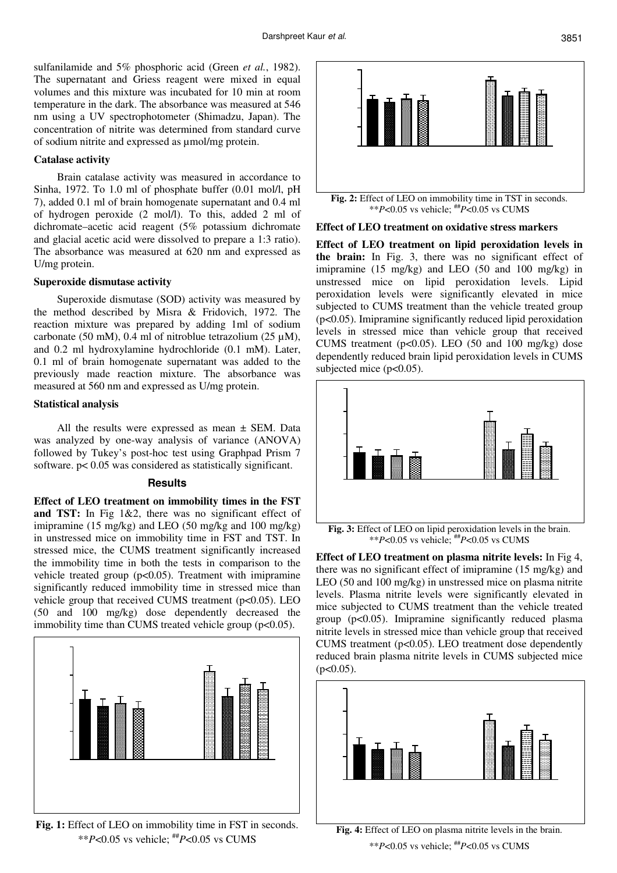sulfanilamide and 5% phosphoric acid (Green *et al.*, 1982). The supernatant and Griess reagent were mixed in equal volumes and this mixture was incubated for 10 min at room temperature in the dark. The absorbance was measured at 546 nm using a UV spectrophotometer (Shimadzu, Japan). The concentration of nitrite was determined from standard curve of sodium nitrite and expressed as µmol/mg protein.

#### **Catalase activity**

Brain catalase activity was measured in accordance to Sinha, 1972. To 1.0 ml of phosphate buffer (0.01 mol/l, pH 7), added 0.1 ml of brain homogenate supernatant and 0.4 ml of hydrogen peroxide (2 mol/l). To this, added 2 ml of dichromate–acetic acid reagent (5% potassium dichromate and glacial acetic acid were dissolved to prepare a 1:3 ratio). The absorbance was measured at 620 nm and expressed as U/mg protein.

#### **Superoxide dismutase activity**

Superoxide dismutase (SOD) activity was measured by the method described by Misra & Fridovich, 1972. The reaction mixture was prepared by adding 1ml of sodium carbonate (50 mM), 0.4 ml of nitroblue tetrazolium (25  $\mu$ M), and 0.2 ml hydroxylamine hydrochloride (0.1 mM). Later, 0.1 ml of brain homogenate supernatant was added to the previously made reaction mixture. The absorbance was measured at 560 nm and expressed as U/mg protein.

### **Statistical analysis**

All the results were expressed as mean  $\pm$  SEM. Data was analyzed by one-way analysis of variance (ANOVA) followed by Tukey's post-hoc test using Graphpad Prism 7 software.  $p < 0.05$  was considered as statistically significant.

#### **Results**

**Effect of LEO treatment on immobility times in the FST and TST:** In Fig 1&2, there was no significant effect of imipramine (15 mg/kg) and LEO (50 mg/kg and 100 mg/kg) in unstressed mice on immobility time in FST and TST. In stressed mice, the CUMS treatment significantly increased the immobility time in both the tests in comparison to the vehicle treated group  $(p<0.05)$ . Treatment with imipramine significantly reduced immobility time in stressed mice than vehicle group that received CUMS treatment ( $p<0.05$ ). LEO (50 and 100 mg/kg) dose dependently decreased the immobility time than CUMS treated vehicle group (p<0.05).



**Fig. 1:** Effect of LEO on immobility time in FST in seconds. \*\**P*<0.05 vs vehicle; ##*P*<0.05 vs CUMS



\*\**P*<0.05 vs vehicle; ##*P*<0.05 vs CUMS

#### **Effect of LEO treatment on oxidative stress markers**

**Effect of LEO treatment on lipid peroxidation levels in the brain:** In Fig. 3, there was no significant effect of imipramine (15 mg/kg) and LEO (50 and 100 mg/kg) in unstressed mice on lipid peroxidation levels. Lipid peroxidation levels were significantly elevated in mice subjected to CUMS treatment than the vehicle treated group (p<0.05). Imipramine significantly reduced lipid peroxidation levels in stressed mice than vehicle group that received CUMS treatment ( $p<0.05$ ). LEO (50 and 100 mg/kg) dose dependently reduced brain lipid peroxidation levels in CUMS subjected mice  $(p<0.05)$ .



\*\* $P < 0.05$  vs vehicle;  $^{#}P < 0.05$  vs CUMS

**Effect of LEO treatment on plasma nitrite levels:** In Fig 4, there was no significant effect of imipramine (15 mg/kg) and LEO (50 and 100 mg/kg) in unstressed mice on plasma nitrite levels. Plasma nitrite levels were significantly elevated in mice subjected to CUMS treatment than the vehicle treated group (p<0.05). Imipramine significantly reduced plasma nitrite levels in stressed mice than vehicle group that received CUMS treatment  $(p<0.05)$ . LEO treatment dose dependently reduced brain plasma nitrite levels in CUMS subjected mice  $(p<0.05)$ .



**Fig. 4:** Effect of LEO on plasma nitrite levels in the brain. \*\**P*<0.05 vs vehicle; ##*P*<0.05 vs CUMS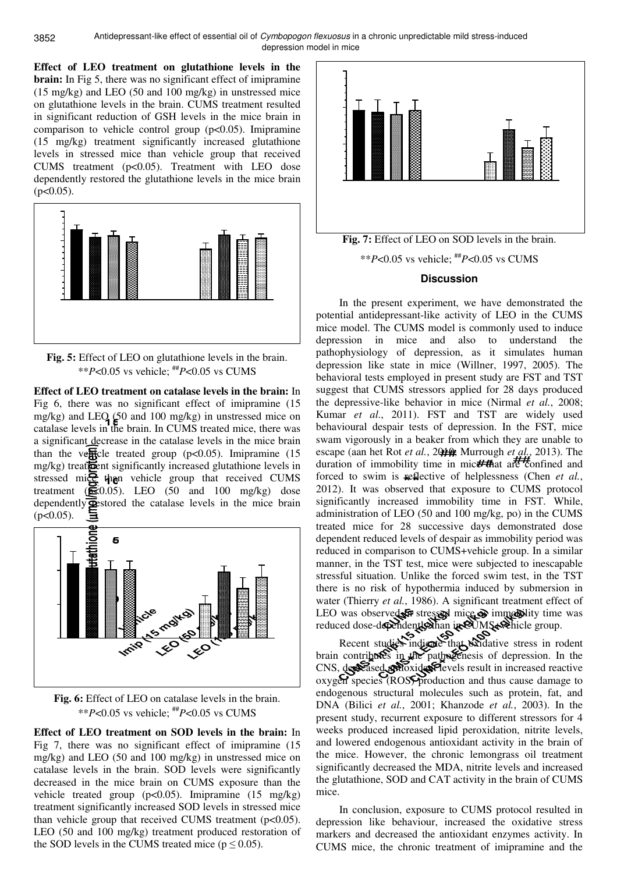**Effect of LEO treatment on glutathione levels in the brain:** In Fig 5, there was no significant effect of imipramine (15 mg/kg) and LEO (50 and 100 mg/kg) in unstressed mice on glutathione levels in the brain. CUMS treatment resulted in significant reduction of GSH levels in the mice brain in comparison to vehicle control group (p<0.05). Imipramine (15 mg/kg) treatment significantly increased glutathione levels in stressed mice than vehicle group that received CUMS treatment (p<0.05). Treatment with LEO dose dependently restored the glutathione levels in the mice brain  $(p<0.05)$ .



**Fig. 5:** Effect of LEO on glutathione levels in the brain. \*\**P*<0.05 vs vehicle; ##*P*<0.05 vs CUMS

**Effect of LEO treatment on catalase levels in the brain:** In Fig 6, there was no significant effect of imipramine (15 mg/kg) and LEO (50 and 100 mg/kg) in unstressed mice on catalase levels in the brain. In CUMS treated mice, there was a significant decrease in the catalase levels in the mice brain than the ve $\frac{1}{\sqrt{10}}$ cle treated group (p<0.05). Imipramine (15 mg/kg) treatment significantly increased glutathione levels in stressed mice than vehicle group that received CUMS treatment  $(50.05)$ . LEO (50 and 100 mg/kg) dose dependently  $\overline{\mathbf{\Phi}}$  stored the catalase levels in the mice brain  $(p<0.05)$ .



**Fig. 6:** Effect of LEO on catalase levels in the brain. \*\**P*<0.05 vs vehicle; ##*P*<0.05 vs CUMS

**Effect of LEO treatment on SOD levels in the brain:** In Fig 7, there was no significant effect of imipramine (15 mg/kg) and LEO (50 and 100 mg/kg) in unstressed mice on catalase levels in the brain. SOD levels were significantly decreased in the mice brain on CUMS exposure than the vehicle treated group (p<0.05). Imipramine (15 mg/kg) treatment significantly increased SOD levels in stressed mice than vehicle group that received CUMS treatment  $(p<0.05)$ . LEO (50 and 100 mg/kg) treatment produced restoration of the SOD levels in the CUMS treated mice ( $p \le 0.05$ ).





# **Discussion**

In the present experiment, we have demonstrated the potential antidepressant-like activity of LEO in the CUMS mice model. The CUMS model is commonly used to induce depression in mice and also to understand the pathophysiology of depression, as it simulates human depression like state in mice (Willner, 1997, 2005). The behavioral tests employed in present study are FST and TST suggest that CUMS stressors applied for 28 days produced the depressive-like behavior in mice (Nirmal *et al.*, 2008; Kumar *et al*., 2011). FST and TST are widely used behavioural despair tests of depression. In the FST, mice swam vigorously in a beaker from which they are unable to escape (aan het Rot *et al.*, 20<del>14)</del>; Murrough *et al.*, 2013). The duration of immobility time in mic<sup>threa</sup> are confined and forced to swim is **reflective** of helplessness (Chen *et al.*, 2012). It was observed that exposure to CUMS protocol significantly increased immobility time in FST. While, administration of LEO (50 and 100 mg/kg, po) in the CUMS treated mice for 28 successive days demonstrated dose dependent reduced levels of despair as immobility period was reduced in comparison to CUMS+vehicle group. In a similar manner, in the TST test, mice were subjected to inescapable stressful situation. Unlike the forced swim test, in the TST there is no risk of hypothermia induced by submersion in water (Thierry *et al.*, 1986). A significant treatment effect of LEO was observed in stressed mice as immobility time was reduced dose-dependently than in CUMS<sup>+</sup>webicle group.

Recent studies indicate that oxidative stress in rodent brain contributes in the pathogenesis of depression. In the CNS, destrased antioxident levels result in increased reactive oxygen species (ROSS-production and thus cause damage to endogenous structural molecules such as protein, fat, and DNA (Bilici *et al.*, 2001; Khanzode *et al.*, 2003). In the present study, recurrent exposure to different stressors for 4 weeks produced increased lipid peroxidation, nitrite levels, and lowered endogenous antioxidant activity in the brain of the mice. However, the chronic lemongrass oil treatment significantly decreased the MDA, nitrite levels and increased the glutathione, SOD and CAT activity in the brain of CUMS mice.

In conclusion, exposure to CUMS protocol resulted in depression like behaviour, increased the oxidative stress markers and decreased the antioxidant enzymes activity. In CUMS mice, the chronic treatment of imipramine and the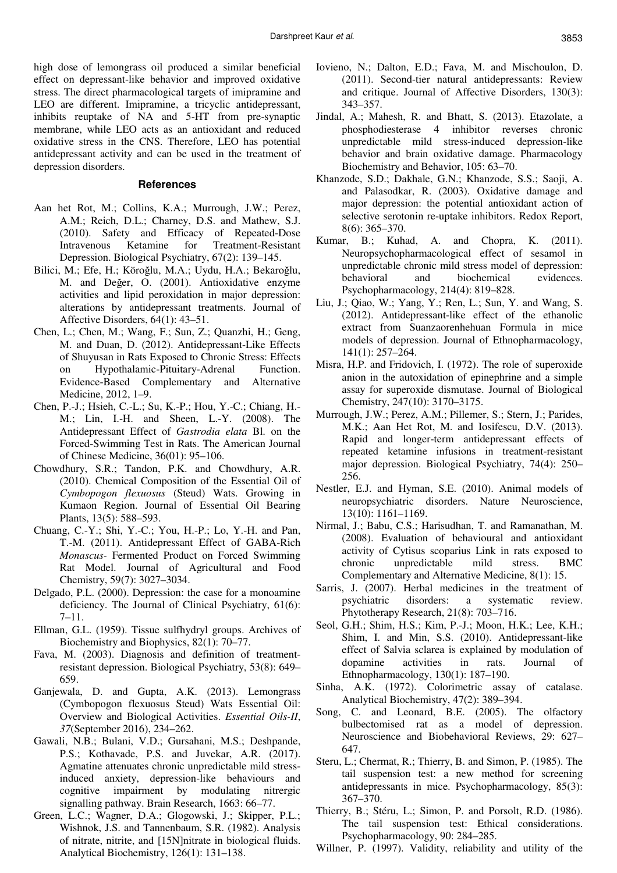high dose of lemongrass oil produced a similar beneficial effect on depressant-like behavior and improved oxidative stress. The direct pharmacological targets of imipramine and LEO are different. Imipramine, a tricyclic antidepressant, inhibits reuptake of NA and 5-HT from pre-synaptic membrane, while LEO acts as an antioxidant and reduced oxidative stress in the CNS. Therefore, LEO has potential antidepressant activity and can be used in the treatment of depression disorders.

#### **References**

- Aan het Rot, M.; Collins, K.A.; Murrough, J.W.; Perez, A.M.; Reich, D.L.; Charney, D.S. and Mathew, S.J. (2010). Safety and Efficacy of Repeated-Dose Intravenous Ketamine for Treatment-Resistant Depression. Biological Psychiatry, 67(2): 139–145.
- Bilici, M.; Efe, H.; Köroğlu, M.A.; Uydu, H.A.; Bekaroğlu, M. and Değer, O. (2001). Antioxidative enzyme activities and lipid peroxidation in major depression: alterations by antidepressant treatments. Journal of Affective Disorders, 64(1): 43–51.
- Chen, L.; Chen, M.; Wang, F.; Sun, Z.; Quanzhi, H.; Geng, M. and Duan, D. (2012). Antidepressant-Like Effects of Shuyusan in Rats Exposed to Chronic Stress: Effects on Hypothalamic-Pituitary-Adrenal Function. Evidence-Based Complementary and Alternative Medicine, 2012, 1–9.
- Chen, P.-J.; Hsieh, C.-L.; Su, K.-P.; Hou, Y.-C.; Chiang, H.- M.; Lin, I.-H. and Sheen, L.-Y. (2008). The Antidepressant Effect of *Gastrodia elata* Bl. on the Forced-Swimming Test in Rats. The American Journal of Chinese Medicine, 36(01): 95–106.
- Chowdhury, S.R.; Tandon, P.K. and Chowdhury, A.R. (2010). Chemical Composition of the Essential Oil of *Cymbopogon flexuosus* (Steud) Wats. Growing in Kumaon Region. Journal of Essential Oil Bearing Plants, 13(5): 588–593.
- Chuang, C.-Y.; Shi, Y.-C.; You, H.-P.; Lo, Y.-H. and Pan, T.-M. (2011). Antidepressant Effect of GABA-Rich *Monascus-* Fermented Product on Forced Swimming Rat Model. Journal of Agricultural and Food Chemistry, 59(7): 3027–3034.
- Delgado, P.L. (2000). Depression: the case for a monoamine deficiency. The Journal of Clinical Psychiatry, 61(6): 7–11.
- Ellman, G.L. (1959). Tissue sulfhydryl groups. Archives of Biochemistry and Biophysics, 82(1): 70–77.
- Fava, M. (2003). Diagnosis and definition of treatmentresistant depression. Biological Psychiatry, 53(8): 649– 659.
- Ganjewala, D. and Gupta, A.K. (2013). Lemongrass (Cymbopogon flexuosus Steud) Wats Essential Oil: Overview and Biological Activities. *Essential Oils-II*, *37*(September 2016), 234–262.
- Gawali, N.B.; Bulani, V.D.; Gursahani, M.S.; Deshpande, P.S.; Kothavade, P.S. and Juvekar, A.R. (2017). Agmatine attenuates chronic unpredictable mild stressinduced anxiety, depression-like behaviours and cognitive impairment by modulating nitrergic signalling pathway. Brain Research, 1663: 66–77.
- Green, L.C.; Wagner, D.A.; Glogowski, J.; Skipper, P.L.; Wishnok, J.S. and Tannenbaum, S.R. (1982). Analysis of nitrate, nitrite, and [15N]nitrate in biological fluids. Analytical Biochemistry, 126(1): 131–138.
- Iovieno, N.; Dalton, E.D.; Fava, M. and Mischoulon, D. (2011). Second-tier natural antidepressants: Review and critique. Journal of Affective Disorders, 130(3): 343–357.
- Jindal, A.; Mahesh, R. and Bhatt, S. (2013). Etazolate, a phosphodiesterase 4 inhibitor reverses chronic unpredictable mild stress-induced depression-like behavior and brain oxidative damage. Pharmacology Biochemistry and Behavior, 105: 63–70.
- Khanzode, S.D.; Dakhale, G.N.; Khanzode, S.S.; Saoji, A. and Palasodkar, R. (2003). Oxidative damage and major depression: the potential antioxidant action of selective serotonin re-uptake inhibitors. Redox Report, 8(6): 365–370.
- Kumar, B.; Kuhad, A. and Chopra, K. (2011). Neuropsychopharmacological effect of sesamol in unpredictable chronic mild stress model of depression: behavioral and biochemical evidences. Psychopharmacology, 214(4): 819–828.
- Liu, J.; Qiao, W.; Yang, Y.; Ren, L.; Sun, Y. and Wang, S. (2012). Antidepressant-like effect of the ethanolic extract from Suanzaorenhehuan Formula in mice models of depression. Journal of Ethnopharmacology, 141(1): 257–264.
- Misra, H.P. and Fridovich, I. (1972). The role of superoxide anion in the autoxidation of epinephrine and a simple assay for superoxide dismutase. Journal of Biological Chemistry, 247(10): 3170–3175.
- Murrough, J.W.; Perez, A.M.; Pillemer, S.; Stern, J.; Parides, M.K.; Aan Het Rot, M. and Iosifescu, D.V. (2013). Rapid and longer-term antidepressant effects of repeated ketamine infusions in treatment-resistant major depression. Biological Psychiatry, 74(4): 250– 256.
- Nestler, E.J. and Hyman, S.E. (2010). Animal models of neuropsychiatric disorders. Nature Neuroscience, 13(10): 1161–1169.
- Nirmal, J.; Babu, C.S.; Harisudhan, T. and Ramanathan, M. (2008). Evaluation of behavioural and antioxidant activity of Cytisus scoparius Link in rats exposed to chronic unpredictable mild stress. BMC Complementary and Alternative Medicine, 8(1): 15.
- Sarris, J. (2007). Herbal medicines in the treatment of psychiatric disorders: a systematic review. Phytotherapy Research, 21(8): 703–716.
- Seol, G.H.; Shim, H.S.; Kim, P.-J.; Moon, H.K.; Lee, K.H.; Shim, I. and Min, S.S. (2010). Antidepressant-like effect of Salvia sclarea is explained by modulation of dopamine activities in rats. Journal of Ethnopharmacology, 130(1): 187–190.
- Sinha, A.K. (1972). Colorimetric assay of catalase. Analytical Biochemistry, 47(2): 389–394.
- Song, C. and Leonard, B.E. (2005). The olfactory bulbectomised rat as a model of depression. Neuroscience and Biobehavioral Reviews, 29: 627– 647.
- Steru, L.; Chermat, R.; Thierry, B. and Simon, P. (1985). The tail suspension test: a new method for screening antidepressants in mice. Psychopharmacology, 85(3): 367–370.
- Thierry, B.; Stéru, L.; Simon, P. and Porsolt, R.D. (1986). The tail suspension test: Ethical considerations. Psychopharmacology, 90: 284–285.
- Willner, P. (1997). Validity, reliability and utility of the